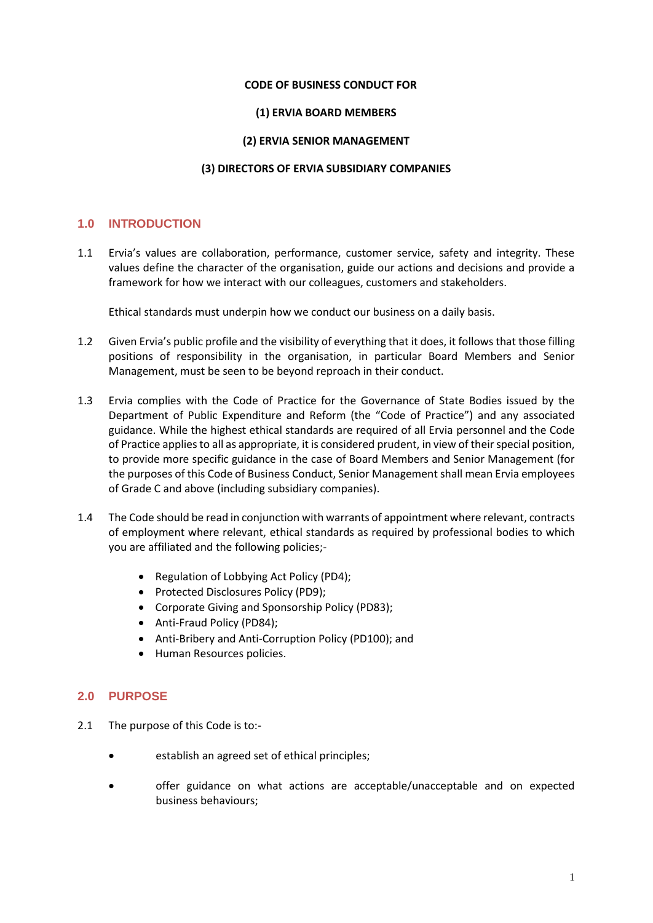#### **CODE OF BUSINESS CONDUCT FOR**

#### **(1) ERVIA BOARD MEMBERS**

#### **(2) ERVIA SENIOR MANAGEMENT**

#### **(3) DIRECTORS OF ERVIA SUBSIDIARY COMPANIES**

#### **1.0 INTRODUCTION**

1.1 Ervia's values are collaboration, performance, customer service, safety and integrity. These values define the character of the organisation, guide our actions and decisions and provide a framework for how we interact with our colleagues, customers and stakeholders.

Ethical standards must underpin how we conduct our business on a daily basis.

- 1.2 Given Ervia's public profile and the visibility of everything that it does, it follows that those filling positions of responsibility in the organisation, in particular Board Members and Senior Management, must be seen to be beyond reproach in their conduct.
- 1.3 Ervia complies with the Code of Practice for the Governance of State Bodies issued by the Department of Public Expenditure and Reform (the "Code of Practice") and any associated guidance. While the highest ethical standards are required of all Ervia personnel and the Code of Practice applies to all as appropriate, it is considered prudent, in view of their special position, to provide more specific guidance in the case of Board Members and Senior Management (for the purposes of this Code of Business Conduct, Senior Management shall mean Ervia employees of Grade C and above (including subsidiary companies).
- 1.4 The Code should be read in conjunction with warrants of appointment where relevant, contracts of employment where relevant, ethical standards as required by professional bodies to which you are affiliated and the following policies;-
	- Regulation of Lobbying Act Policy (PD4);
	- Protected Disclosures Policy (PD9);
	- Corporate Giving and Sponsorship Policy (PD83);
	- Anti-Fraud Policy (PD84);
	- Anti-Bribery and Anti-Corruption Policy (PD100); and
	- Human Resources policies.

#### **2.0 PURPOSE**

- 2.1 The purpose of this Code is to:
	- establish an agreed set of ethical principles;
	- offer guidance on what actions are acceptable/unacceptable and on expected business behaviours;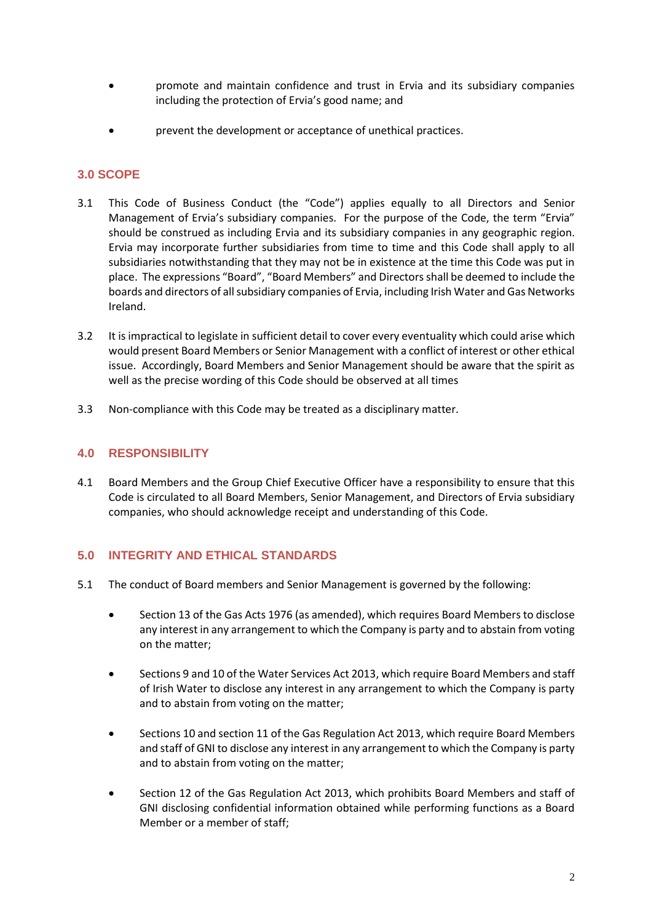- promote and maintain confidence and trust in Ervia and its subsidiary companies including the protection of Ervia's good name; and
- prevent the development or acceptance of unethical practices.

## **3.0 SCOPE**

- 3.1 This Code of Business Conduct (the "Code") applies equally to all Directors and Senior Management of Ervia's subsidiary companies. For the purpose of the Code, the term "Ervia" should be construed as including Ervia and its subsidiary companies in any geographic region. Ervia may incorporate further subsidiaries from time to time and this Code shall apply to all subsidiaries notwithstanding that they may not be in existence at the time this Code was put in place. The expressions "Board", "Board Members" and Directors shall be deemed to include the boards and directors of all subsidiary companies of Ervia, including Irish Water and Gas Networks Ireland.
- 3.2 It is impractical to legislate in sufficient detail to cover every eventuality which could arise which would present Board Members or Senior Management with a conflict of interest or other ethical issue. Accordingly, Board Members and Senior Management should be aware that the spirit as well as the precise wording of this Code should be observed at all times
- 3.3 Non-compliance with this Code may be treated as a disciplinary matter.

## **4.0 RESPONSIBILITY**

4.1 Board Members and the Group Chief Executive Officer have a responsibility to ensure that this Code is circulated to all Board Members, Senior Management, and Directors of Ervia subsidiary companies, who should acknowledge receipt and understanding of this Code.

# **5.0 INTEGRITY AND ETHICAL STANDARDS**

- 5.1 The conduct of Board members and Senior Management is governed by the following:
	- Section 13 of the Gas Acts 1976 (as amended), which requires Board Members to disclose any interest in any arrangement to which the Company is party and to abstain from voting on the matter;
	- Sections 9 and 10 of the Water Services Act 2013, which require Board Members and staff of Irish Water to disclose any interest in any arrangement to which the Company is party and to abstain from voting on the matter;
	- Sections 10 and section 11 of the Gas Regulation Act 2013, which require Board Members and staff of GNI to disclose any interest in any arrangement to which the Company is party and to abstain from voting on the matter;
	- Section 12 of the Gas Regulation Act 2013, which prohibits Board Members and staff of GNI disclosing confidential information obtained while performing functions as a Board Member or a member of staff;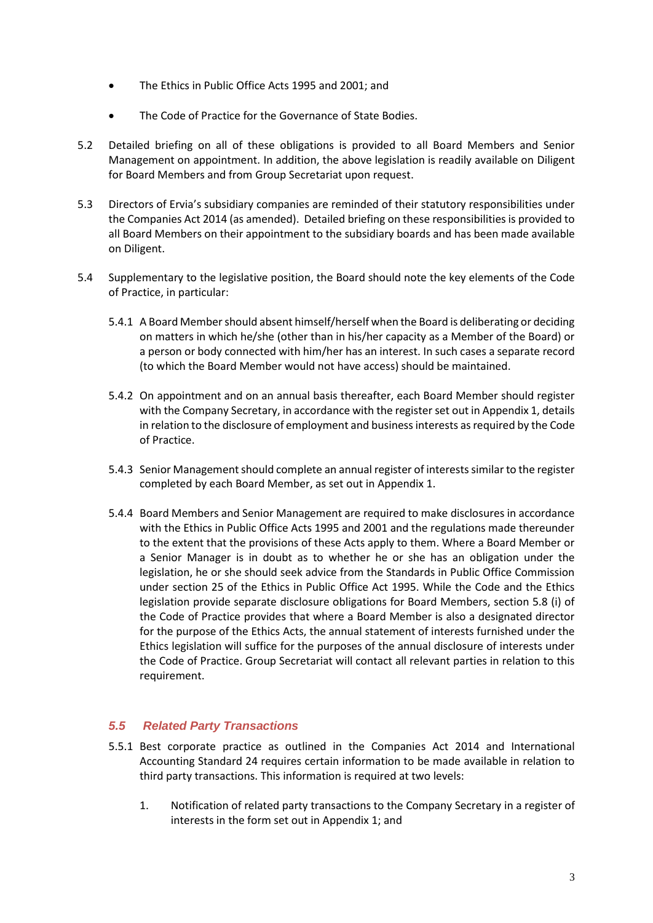- The Ethics in Public Office Acts 1995 and 2001; and
- The Code of Practice for the Governance of State Bodies.
- 5.2 Detailed briefing on all of these obligations is provided to all Board Members and Senior Management on appointment. In addition, the above legislation is readily available on Diligent for Board Members and from Group Secretariat upon request.
- 5.3 Directors of Ervia's subsidiary companies are reminded of their statutory responsibilities under the Companies Act 2014 (as amended). Detailed briefing on these responsibilities is provided to all Board Members on their appointment to the subsidiary boards and has been made available on Diligent.
- 5.4 Supplementary to the legislative position, the Board should note the key elements of the Code of Practice, in particular:
	- 5.4.1 A Board Member should absent himself/herself when the Board is deliberating or deciding on matters in which he/she (other than in his/her capacity as a Member of the Board) or a person or body connected with him/her has an interest. In such cases a separate record (to which the Board Member would not have access) should be maintained.
	- 5.4.2 On appointment and on an annual basis thereafter, each Board Member should register with the Company Secretary, in accordance with the register set out in Appendix 1, details in relation to the disclosure of employment and business interests as required by the Code of Practice.
	- 5.4.3 Senior Management should complete an annual register of interests similar to the register completed by each Board Member, as set out in Appendix 1.
	- 5.4.4 Board Members and Senior Management are required to make disclosures in accordance with the Ethics in Public Office Acts 1995 and 2001 and the regulations made thereunder to the extent that the provisions of these Acts apply to them. Where a Board Member or a Senior Manager is in doubt as to whether he or she has an obligation under the legislation, he or she should seek advice from the Standards in Public Office Commission under section 25 of the Ethics in Public Office Act 1995. While the Code and the Ethics legislation provide separate disclosure obligations for Board Members, section 5.8 (i) of the Code of Practice provides that where a Board Member is also a designated director for the purpose of the Ethics Acts, the annual statement of interests furnished under the Ethics legislation will suffice for the purposes of the annual disclosure of interests under the Code of Practice. Group Secretariat will contact all relevant parties in relation to this requirement.

## *5.5 Related Party Transactions*

- 5.5.1 Best corporate practice as outlined in the Companies Act 2014 and International Accounting Standard 24 requires certain information to be made available in relation to third party transactions. This information is required at two levels:
	- 1. Notification of related party transactions to the Company Secretary in a register of interests in the form set out in Appendix 1; and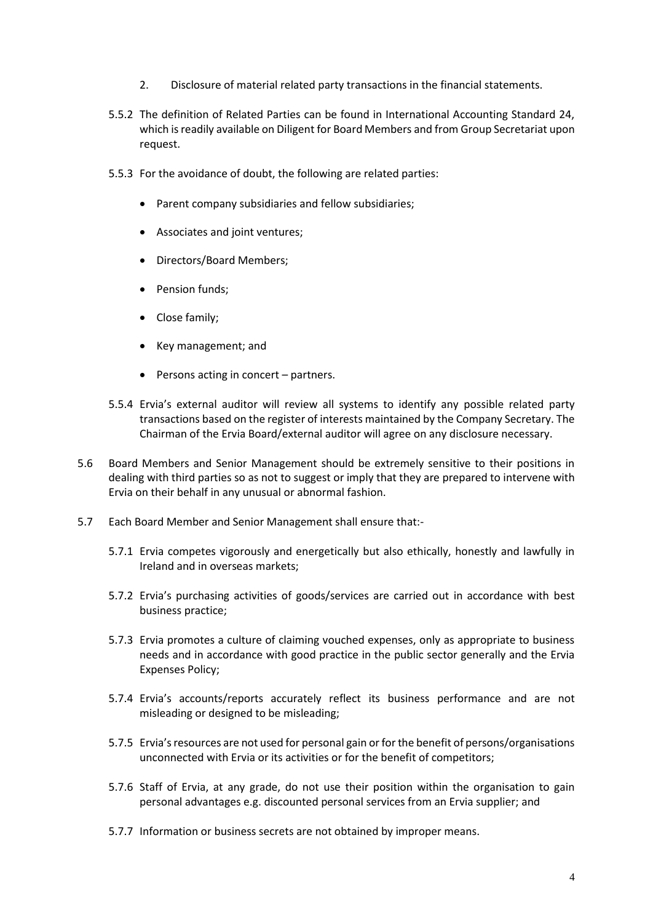- 2. Disclosure of material related party transactions in the financial statements.
- 5.5.2 The definition of Related Parties can be found in International Accounting Standard 24, which is readily available on Diligent for Board Members and from Group Secretariat upon request.
- 5.5.3 For the avoidance of doubt, the following are related parties:
	- Parent company subsidiaries and fellow subsidiaries;
	- Associates and joint ventures;
	- Directors/Board Members;
	- Pension funds;
	- Close family;
	- Key management; and
	- $\bullet$  Persons acting in concert partners.
- 5.5.4 Ervia's external auditor will review all systems to identify any possible related party transactions based on the register of interests maintained by the Company Secretary. The Chairman of the Ervia Board/external auditor will agree on any disclosure necessary.
- 5.6 Board Members and Senior Management should be extremely sensitive to their positions in dealing with third parties so as not to suggest or imply that they are prepared to intervene with Ervia on their behalf in any unusual or abnormal fashion.
- 5.7 Each Board Member and Senior Management shall ensure that:-
	- 5.7.1 Ervia competes vigorously and energetically but also ethically, honestly and lawfully in Ireland and in overseas markets;
	- 5.7.2 Ervia's purchasing activities of goods/services are carried out in accordance with best business practice;
	- 5.7.3 Ervia promotes a culture of claiming vouched expenses, only as appropriate to business needs and in accordance with good practice in the public sector generally and the Ervia Expenses Policy;
	- 5.7.4 Ervia's accounts/reports accurately reflect its business performance and are not misleading or designed to be misleading;
	- 5.7.5 Ervia's resources are not used for personal gain or for the benefit of persons/organisations unconnected with Ervia or its activities or for the benefit of competitors;
	- 5.7.6 Staff of Ervia, at any grade, do not use their position within the organisation to gain personal advantages e.g. discounted personal services from an Ervia supplier; and
	- 5.7.7 Information or business secrets are not obtained by improper means.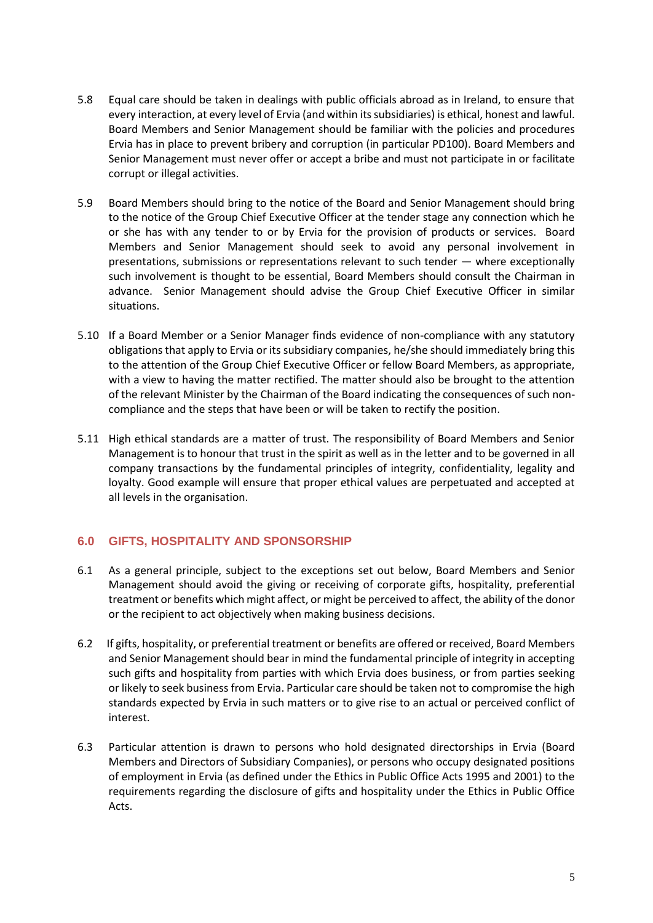- 5.8 Equal care should be taken in dealings with public officials abroad as in Ireland, to ensure that every interaction, at every level of Ervia (and within its subsidiaries) is ethical, honest and lawful. Board Members and Senior Management should be familiar with the policies and procedures Ervia has in place to prevent bribery and corruption (in particular PD100). Board Members and Senior Management must never offer or accept a bribe and must not participate in or facilitate corrupt or illegal activities.
- 5.9 Board Members should bring to the notice of the Board and Senior Management should bring to the notice of the Group Chief Executive Officer at the tender stage any connection which he or she has with any tender to or by Ervia for the provision of products or services. Board Members and Senior Management should seek to avoid any personal involvement in presentations, submissions or representations relevant to such tender — where exceptionally such involvement is thought to be essential, Board Members should consult the Chairman in advance. Senior Management should advise the Group Chief Executive Officer in similar situations.
- 5.10 If a Board Member or a Senior Manager finds evidence of non-compliance with any statutory obligations that apply to Ervia or its subsidiary companies, he/she should immediately bring this to the attention of the Group Chief Executive Officer or fellow Board Members, as appropriate, with a view to having the matter rectified. The matter should also be brought to the attention of the relevant Minister by the Chairman of the Board indicating the consequences of such noncompliance and the steps that have been or will be taken to rectify the position.
- 5.11 High ethical standards are a matter of trust. The responsibility of Board Members and Senior Management is to honour that trust in the spirit as well as in the letter and to be governed in all company transactions by the fundamental principles of integrity, confidentiality, legality and loyalty. Good example will ensure that proper ethical values are perpetuated and accepted at all levels in the organisation.

# **6.0 GIFTS, HOSPITALITY AND SPONSORSHIP**

- 6.1 As a general principle, subject to the exceptions set out below, Board Members and Senior Management should avoid the giving or receiving of corporate gifts, hospitality, preferential treatment or benefits which might affect, or might be perceived to affect, the ability of the donor or the recipient to act objectively when making business decisions.
- 6.2 If gifts, hospitality, or preferential treatment or benefits are offered or received, Board Members and Senior Management should bear in mind the fundamental principle of integrity in accepting such gifts and hospitality from parties with which Ervia does business, or from parties seeking or likely to seek business from Ervia. Particular care should be taken not to compromise the high standards expected by Ervia in such matters or to give rise to an actual or perceived conflict of interest.
- 6.3 Particular attention is drawn to persons who hold designated directorships in Ervia (Board Members and Directors of Subsidiary Companies), or persons who occupy designated positions of employment in Ervia (as defined under the Ethics in Public Office Acts 1995 and 2001) to the requirements regarding the disclosure of gifts and hospitality under the Ethics in Public Office Acts.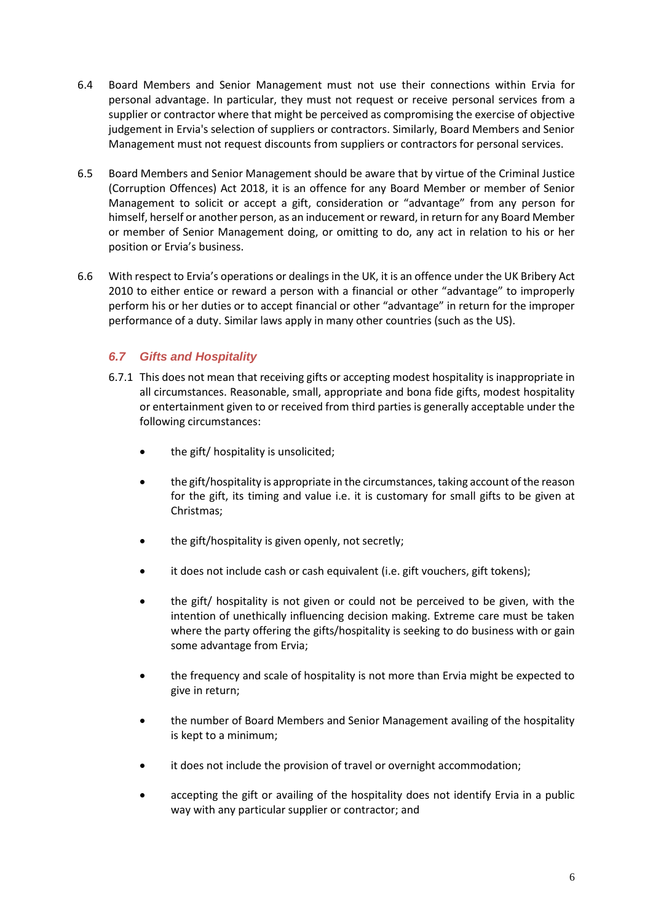- 6.4 Board Members and Senior Management must not use their connections within Ervia for personal advantage. In particular, they must not request or receive personal services from a supplier or contractor where that might be perceived as compromising the exercise of objective judgement in Ervia's selection of suppliers or contractors. Similarly, Board Members and Senior Management must not request discounts from suppliers or contractors for personal services.
- 6.5 Board Members and Senior Management should be aware that by virtue of the Criminal Justice (Corruption Offences) Act 2018, it is an offence for any Board Member or member of Senior Management to solicit or accept a gift, consideration or "advantage" from any person for himself, herself or another person, as an inducement or reward, in return for any Board Member or member of Senior Management doing, or omitting to do, any act in relation to his or her position or Ervia's business.
- 6.6 With respect to Ervia's operations or dealings in the UK, it is an offence under the UK Bribery Act 2010 to either entice or reward a person with a financial or other "advantage" to improperly perform his or her duties or to accept financial or other "advantage" in return for the improper performance of a duty. Similar laws apply in many other countries (such as the US).

# *6.7 Gifts and Hospitality*

- 6.7.1 This does not mean that receiving gifts or accepting modest hospitality is inappropriate in all circumstances. Reasonable, small, appropriate and bona fide gifts, modest hospitality or entertainment given to or received from third parties is generally acceptable under the following circumstances:
	- the gift/ hospitality is unsolicited;
	- the gift/hospitality is appropriate in the circumstances, taking account of the reason for the gift, its timing and value i.e. it is customary for small gifts to be given at Christmas;
	- the gift/hospitality is given openly, not secretly;
	- it does not include cash or cash equivalent (i.e. gift vouchers, gift tokens);
	- the gift/ hospitality is not given or could not be perceived to be given, with the intention of unethically influencing decision making. Extreme care must be taken where the party offering the gifts/hospitality is seeking to do business with or gain some advantage from Ervia;
	- the frequency and scale of hospitality is not more than Ervia might be expected to give in return;
	- the number of Board Members and Senior Management availing of the hospitality is kept to a minimum;
	- it does not include the provision of travel or overnight accommodation;
	- accepting the gift or availing of the hospitality does not identify Ervia in a public way with any particular supplier or contractor; and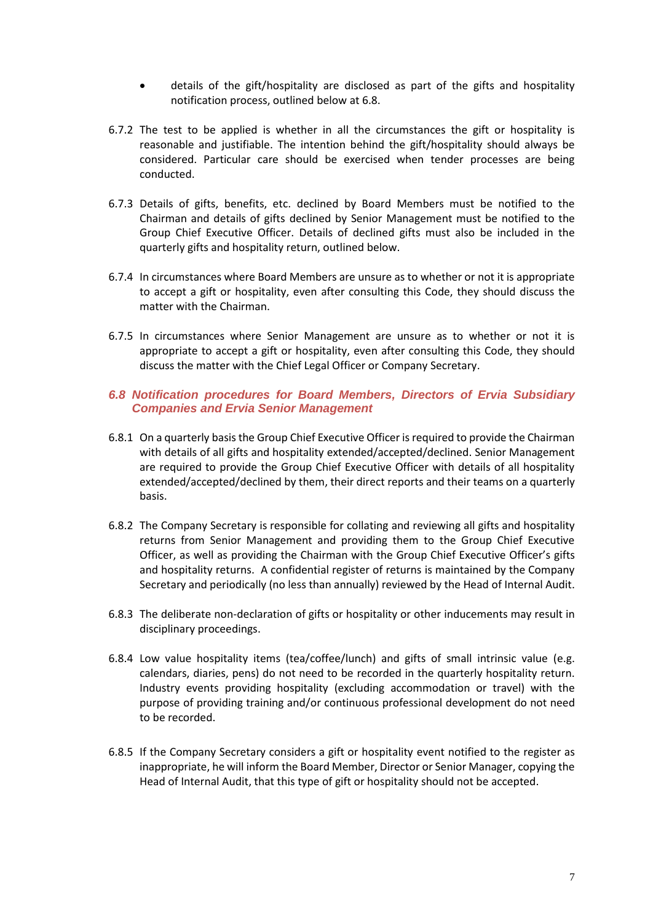- details of the gift/hospitality are disclosed as part of the gifts and hospitality notification process, outlined below at 6.8.
- 6.7.2 The test to be applied is whether in all the circumstances the gift or hospitality is reasonable and justifiable. The intention behind the gift/hospitality should always be considered. Particular care should be exercised when tender processes are being conducted.
- 6.7.3 Details of gifts, benefits, etc. declined by Board Members must be notified to the Chairman and details of gifts declined by Senior Management must be notified to the Group Chief Executive Officer. Details of declined gifts must also be included in the quarterly gifts and hospitality return, outlined below.
- 6.7.4 In circumstances where Board Members are unsure as to whether or not it is appropriate to accept a gift or hospitality, even after consulting this Code, they should discuss the matter with the Chairman.
- 6.7.5 In circumstances where Senior Management are unsure as to whether or not it is appropriate to accept a gift or hospitality, even after consulting this Code, they should discuss the matter with the Chief Legal Officer or Company Secretary.

## *6.8 Notification procedures for Board Members, Directors of Ervia Subsidiary Companies and Ervia Senior Management*

- 6.8.1 On a quarterly basis the Group Chief Executive Officer is required to provide the Chairman with details of all gifts and hospitality extended/accepted/declined. Senior Management are required to provide the Group Chief Executive Officer with details of all hospitality extended/accepted/declined by them, their direct reports and their teams on a quarterly basis.
- 6.8.2 The Company Secretary is responsible for collating and reviewing all gifts and hospitality returns from Senior Management and providing them to the Group Chief Executive Officer, as well as providing the Chairman with the Group Chief Executive Officer's gifts and hospitality returns. A confidential register of returns is maintained by the Company Secretary and periodically (no less than annually) reviewed by the Head of Internal Audit.
- 6.8.3 The deliberate non-declaration of gifts or hospitality or other inducements may result in disciplinary proceedings.
- 6.8.4 Low value hospitality items (tea/coffee/lunch) and gifts of small intrinsic value (e.g. calendars, diaries, pens) do not need to be recorded in the quarterly hospitality return. Industry events providing hospitality (excluding accommodation or travel) with the purpose of providing training and/or continuous professional development do not need to be recorded.
- 6.8.5 If the Company Secretary considers a gift or hospitality event notified to the register as inappropriate, he will inform the Board Member, Director or Senior Manager, copying the Head of Internal Audit, that this type of gift or hospitality should not be accepted.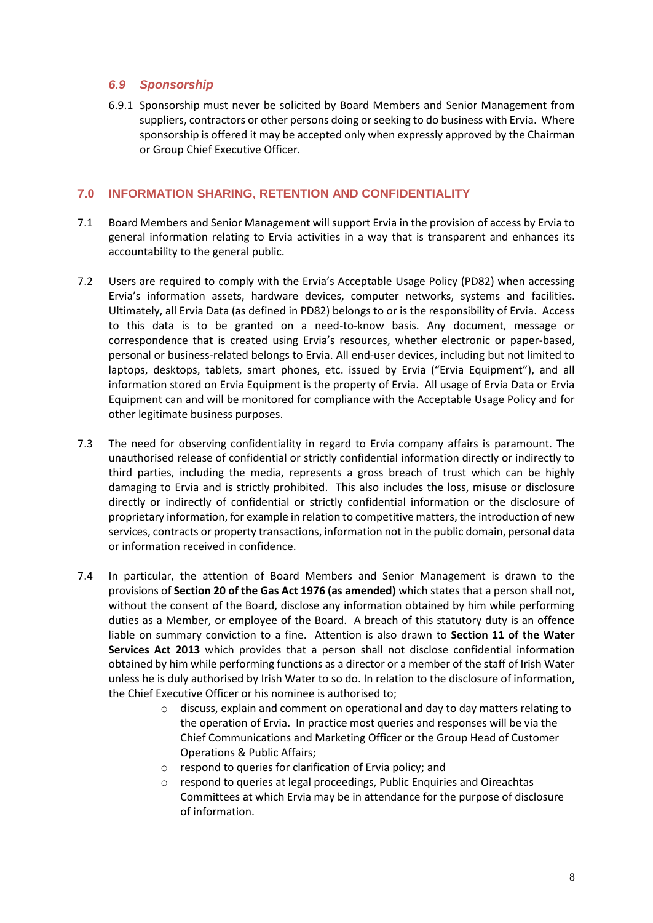#### *6.9 Sponsorship*

6.9.1 Sponsorship must never be solicited by Board Members and Senior Management from suppliers, contractors or other persons doing or seeking to do business with Ervia. Where sponsorship is offered it may be accepted only when expressly approved by the Chairman or Group Chief Executive Officer.

#### **7.0 INFORMATION SHARING, RETENTION AND CONFIDENTIALITY**

- 7.1 Board Members and Senior Management will support Ervia in the provision of access by Ervia to general information relating to Ervia activities in a way that is transparent and enhances its accountability to the general public.
- 7.2 Users are required to comply with the Ervia's Acceptable Usage Policy (PD82) when accessing Ervia's information assets, hardware devices, computer networks, systems and facilities. Ultimately, all Ervia Data (as defined in PD82) belongs to or is the responsibility of Ervia. Access to this data is to be granted on a need-to-know basis. Any document, message or correspondence that is created using Ervia's resources, whether electronic or paper-based, personal or business-related belongs to Ervia. All end-user devices, including but not limited to laptops, desktops, tablets, smart phones, etc. issued by Ervia ("Ervia Equipment"), and all information stored on Ervia Equipment is the property of Ervia. All usage of Ervia Data or Ervia Equipment can and will be monitored for compliance with the Acceptable Usage Policy and for other legitimate business purposes.
- 7.3 The need for observing confidentiality in regard to Ervia company affairs is paramount. The unauthorised release of confidential or strictly confidential information directly or indirectly to third parties, including the media, represents a gross breach of trust which can be highly damaging to Ervia and is strictly prohibited. This also includes the loss, misuse or disclosure directly or indirectly of confidential or strictly confidential information or the disclosure of proprietary information, for example in relation to competitive matters, the introduction of new services, contracts or property transactions, information not in the public domain, personal data or information received in confidence.
- 7.4 In particular, the attention of Board Members and Senior Management is drawn to the provisions of **Section 20 of the Gas Act 1976 (as amended)** which states that a person shall not, without the consent of the Board, disclose any information obtained by him while performing duties as a Member, or employee of the Board. A breach of this statutory duty is an offence liable on summary conviction to a fine. Attention is also drawn to **Section 11 of the Water Services Act 2013** which provides that a person shall not disclose confidential information obtained by him while performing functions as a director or a member of the staff of Irish Water unless he is duly authorised by Irish Water to so do. In relation to the disclosure of information, the Chief Executive Officer or his nominee is authorised to;
	- o discuss, explain and comment on operational and day to day matters relating to the operation of Ervia. In practice most queries and responses will be via the Chief Communications and Marketing Officer or the Group Head of Customer Operations & Public Affairs;
	- o respond to queries for clarification of Ervia policy; and
	- o respond to queries at legal proceedings, Public Enquiries and Oireachtas Committees at which Ervia may be in attendance for the purpose of disclosure of information.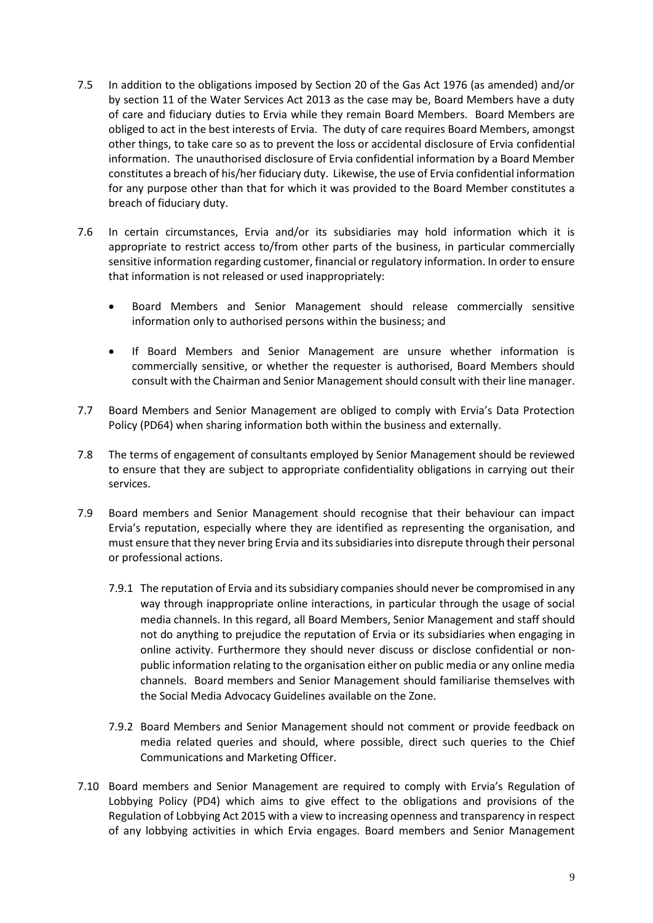- 7.5 In addition to the obligations imposed by Section 20 of the Gas Act 1976 (as amended) and/or by section 11 of the Water Services Act 2013 as the case may be, Board Members have a duty of care and fiduciary duties to Ervia while they remain Board Members. Board Members are obliged to act in the best interests of Ervia. The duty of care requires Board Members, amongst other things, to take care so as to prevent the loss or accidental disclosure of Ervia confidential information. The unauthorised disclosure of Ervia confidential information by a Board Member constitutes a breach of his/her fiduciary duty. Likewise, the use of Ervia confidential information for any purpose other than that for which it was provided to the Board Member constitutes a breach of fiduciary duty.
- 7.6 In certain circumstances, Ervia and/or its subsidiaries may hold information which it is appropriate to restrict access to/from other parts of the business, in particular commercially sensitive information regarding customer, financial or regulatory information. In order to ensure that information is not released or used inappropriately:
	- Board Members and Senior Management should release commercially sensitive information only to authorised persons within the business; and
	- If Board Members and Senior Management are unsure whether information is commercially sensitive, or whether the requester is authorised, Board Members should consult with the Chairman and Senior Management should consult with their line manager.
- 7.7 Board Members and Senior Management are obliged to comply with Ervia's Data Protection Policy (PD64) when sharing information both within the business and externally.
- 7.8 The terms of engagement of consultants employed by Senior Management should be reviewed to ensure that they are subject to appropriate confidentiality obligations in carrying out their services.
- 7.9 Board members and Senior Management should recognise that their behaviour can impact Ervia's reputation, especially where they are identified as representing the organisation, and must ensure that they never bring Ervia and its subsidiaries into disrepute through their personal or professional actions.
	- 7.9.1 The reputation of Ervia and its subsidiary companies should never be compromised in any way through inappropriate online interactions, in particular through the usage of social media channels. In this regard, all Board Members, Senior Management and staff should not do anything to prejudice the reputation of Ervia or its subsidiaries when engaging in online activity. Furthermore they should never discuss or disclose confidential or nonpublic information relating to the organisation either on public media or any online media channels. Board members and Senior Management should familiarise themselves with the Social Media Advocacy Guidelines available on the Zone.
	- 7.9.2 Board Members and Senior Management should not comment or provide feedback on media related queries and should, where possible, direct such queries to the Chief Communications and Marketing Officer.
- 7.10 Board members and Senior Management are required to comply with Ervia's Regulation of Lobbying Policy (PD4) which aims to give effect to the obligations and provisions of the Regulation of Lobbying Act 2015 with a view to increasing openness and transparency in respect of any lobbying activities in which Ervia engages. Board members and Senior Management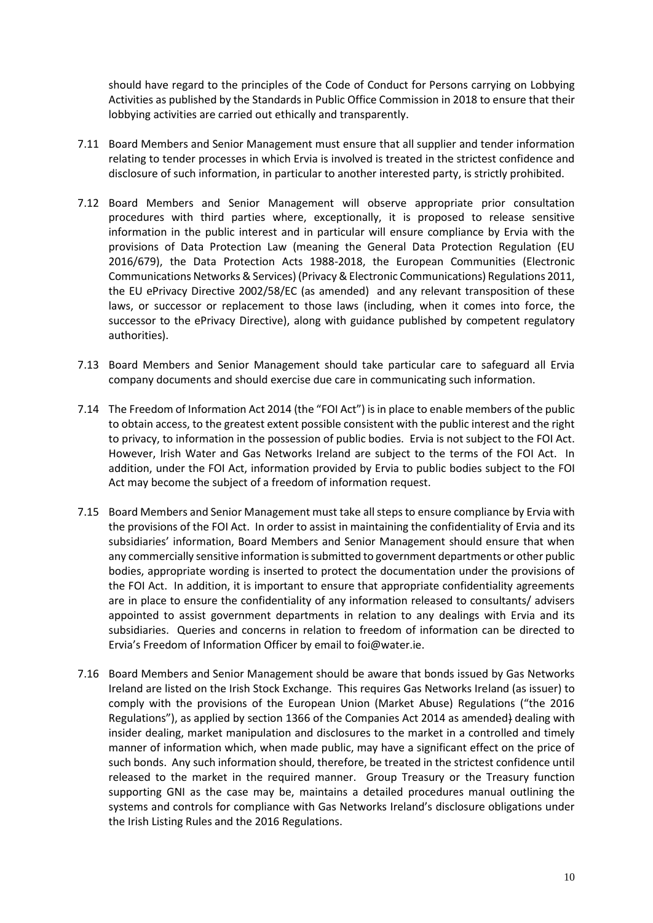should have regard to the principles of the Code of Conduct for Persons carrying on Lobbying Activities as published by the Standards in Public Office Commission in 2018 to ensure that their lobbying activities are carried out ethically and transparently.

- 7.11 Board Members and Senior Management must ensure that all supplier and tender information relating to tender processes in which Ervia is involved is treated in the strictest confidence and disclosure of such information, in particular to another interested party, is strictly prohibited.
- 7.12 Board Members and Senior Management will observe appropriate prior consultation procedures with third parties where, exceptionally, it is proposed to release sensitive information in the public interest and in particular will ensure compliance by Ervia with the provisions of Data Protection Law (meaning the General Data Protection Regulation (EU 2016/679), the Data Protection Acts 1988-2018, the European Communities (Electronic Communications Networks & Services) (Privacy & Electronic Communications) Regulations 2011, the EU ePrivacy Directive 2002/58/EC (as amended) and any relevant transposition of these laws, or successor or replacement to those laws (including, when it comes into force, the successor to the ePrivacy Directive), along with guidance published by competent regulatory authorities).
- 7.13 Board Members and Senior Management should take particular care to safeguard all Ervia company documents and should exercise due care in communicating such information.
- 7.14 The Freedom of Information Act 2014 (the "FOI Act") is in place to enable members of the public to obtain access, to the greatest extent possible consistent with the public interest and the right to privacy, to information in the possession of public bodies. Ervia is not subject to the FOI Act. However, Irish Water and Gas Networks Ireland are subject to the terms of the FOI Act. In addition, under the FOI Act, information provided by Ervia to public bodies subject to the FOI Act may become the subject of a freedom of information request.
- 7.15 Board Members and Senior Management must take all steps to ensure compliance by Ervia with the provisions of the FOI Act. In order to assist in maintaining the confidentiality of Ervia and its subsidiaries' information, Board Members and Senior Management should ensure that when any commercially sensitive information is submitted to government departments or other public bodies, appropriate wording is inserted to protect the documentation under the provisions of the FOI Act. In addition, it is important to ensure that appropriate confidentiality agreements are in place to ensure the confidentiality of any information released to consultants/ advisers appointed to assist government departments in relation to any dealings with Ervia and its subsidiaries. Queries and concerns in relation to freedom of information can be directed to Ervia's Freedom of Information Officer by email to [foi@water.ie.](mailto:foi@water.ie)
- 7.16 Board Members and Senior Management should be aware that bonds issued by Gas Networks Ireland are listed on the Irish Stock Exchange. This requires Gas Networks Ireland (as issuer) to comply with the provisions of the European Union (Market Abuse) Regulations ("the 2016 Regulations"), as applied by section 1366 of the Companies Act 2014 as amended) dealing with insider dealing, market manipulation and disclosures to the market in a controlled and timely manner of information which, when made public, may have a significant effect on the price of such bonds. Any such information should, therefore, be treated in the strictest confidence until released to the market in the required manner. Group Treasury or the Treasury function supporting GNI as the case may be, maintains a detailed procedures manual outlining the systems and controls for compliance with Gas Networks Ireland's disclosure obligations under the Irish Listing Rules and the 2016 Regulations.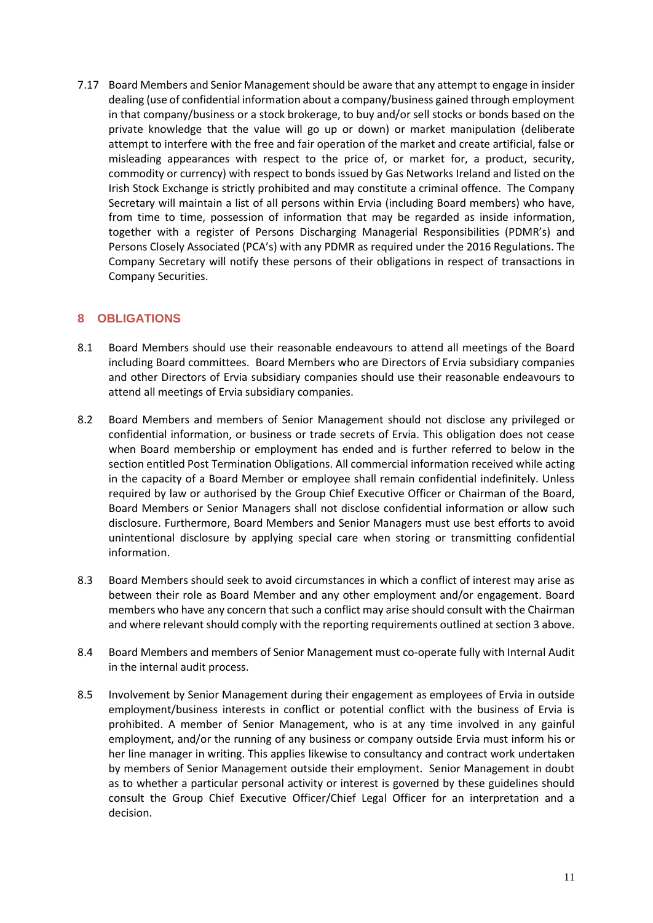7.17 Board Members and Senior Management should be aware that any attempt to engage in insider dealing (use of confidential information about a company/business gained through employment in that company/business or a stock brokerage, to buy and/or sell stocks or bonds based on the private knowledge that the value will go up or down) or market manipulation (deliberate attempt to interfere with the free and fair operation of the market and create artificial, false or misleading appearances with respect to the price of, or market for, a product, security, commodity or currency) with respect to bonds issued by Gas Networks Ireland and listed on the Irish Stock Exchange is strictly prohibited and may constitute a criminal offence. The Company Secretary will maintain a list of all persons within Ervia (including Board members) who have, from time to time, possession of information that may be regarded as inside information, together with a register of Persons Discharging Managerial Responsibilities (PDMR's) and Persons Closely Associated (PCA's) with any PDMR as required under the 2016 Regulations. The Company Secretary will notify these persons of their obligations in respect of transactions in Company Securities.

## **8 OBLIGATIONS**

- 8.1 Board Members should use their reasonable endeavours to attend all meetings of the Board including Board committees. Board Members who are Directors of Ervia subsidiary companies and other Directors of Ervia subsidiary companies should use their reasonable endeavours to attend all meetings of Ervia subsidiary companies.
- 8.2 Board Members and members of Senior Management should not disclose any privileged or confidential information, or business or trade secrets of Ervia. This obligation does not cease when Board membership or employment has ended and is further referred to below in the section entitled Post Termination Obligations. All commercial information received while acting in the capacity of a Board Member or employee shall remain confidential indefinitely. Unless required by law or authorised by the Group Chief Executive Officer or Chairman of the Board, Board Members or Senior Managers shall not disclose confidential information or allow such disclosure. Furthermore, Board Members and Senior Managers must use best efforts to avoid unintentional disclosure by applying special care when storing or transmitting confidential information.
- 8.3 Board Members should seek to avoid circumstances in which a conflict of interest may arise as between their role as Board Member and any other employment and/or engagement. Board members who have any concern that such a conflict may arise should consult with the Chairman and where relevant should comply with the reporting requirements outlined at section 3 above.
- 8.4 Board Members and members of Senior Management must co-operate fully with Internal Audit in the internal audit process.
- 8.5 Involvement by Senior Management during their engagement as employees of Ervia in outside employment/business interests in conflict or potential conflict with the business of Ervia is prohibited. A member of Senior Management, who is at any time involved in any gainful employment, and/or the running of any business or company outside Ervia must inform his or her line manager in writing. This applies likewise to consultancy and contract work undertaken by members of Senior Management outside their employment. Senior Management in doubt as to whether a particular personal activity or interest is governed by these guidelines should consult the Group Chief Executive Officer/Chief Legal Officer for an interpretation and a decision.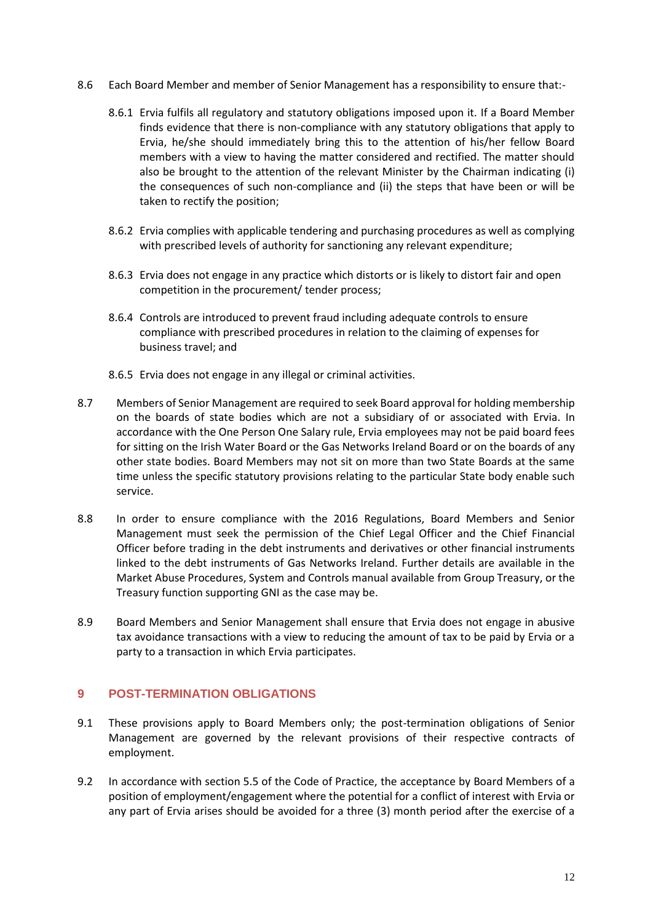- 8.6 Each Board Member and member of Senior Management has a responsibility to ensure that:-
	- 8.6.1 Ervia fulfils all regulatory and statutory obligations imposed upon it. If a Board Member finds evidence that there is non-compliance with any statutory obligations that apply to Ervia, he/she should immediately bring this to the attention of his/her fellow Board members with a view to having the matter considered and rectified. The matter should also be brought to the attention of the relevant Minister by the Chairman indicating (i) the consequences of such non-compliance and (ii) the steps that have been or will be taken to rectify the position;
	- 8.6.2 Ervia complies with applicable tendering and purchasing procedures as well as complying with prescribed levels of authority for sanctioning any relevant expenditure;
	- 8.6.3 Ervia does not engage in any practice which distorts or is likely to distort fair and open competition in the procurement/ tender process;
	- 8.6.4 Controls are introduced to prevent fraud including adequate controls to ensure compliance with prescribed procedures in relation to the claiming of expenses for business travel; and
	- 8.6.5 Ervia does not engage in any illegal or criminal activities.
- 8.7 Members of Senior Management are required to seek Board approval for holding membership on the boards of state bodies which are not a subsidiary of or associated with Ervia. In accordance with the One Person One Salary rule, Ervia employees may not be paid board fees for sitting on the Irish Water Board or the Gas Networks Ireland Board or on the boards of any other state bodies. Board Members may not sit on more than two State Boards at the same time unless the specific statutory provisions relating to the particular State body enable such service.
- 8.8 In order to ensure compliance with the 2016 Regulations, Board Members and Senior Management must seek the permission of the Chief Legal Officer and the Chief Financial Officer before trading in the debt instruments and derivatives or other financial instruments linked to the debt instruments of Gas Networks Ireland. Further details are available in the Market Abuse Procedures, System and Controls manual available from Group Treasury, or the Treasury function supporting GNI as the case may be.
- 8.9 Board Members and Senior Management shall ensure that Ervia does not engage in abusive tax avoidance transactions with a view to reducing the amount of tax to be paid by Ervia or a party to a transaction in which Ervia participates.

## **9 POST-TERMINATION OBLIGATIONS**

- 9.1 These provisions apply to Board Members only; the post-termination obligations of Senior Management are governed by the relevant provisions of their respective contracts of employment.
- 9.2 In accordance with section 5.5 of the Code of Practice, the acceptance by Board Members of a position of employment/engagement where the potential for a conflict of interest with Ervia or any part of Ervia arises should be avoided for a three (3) month period after the exercise of a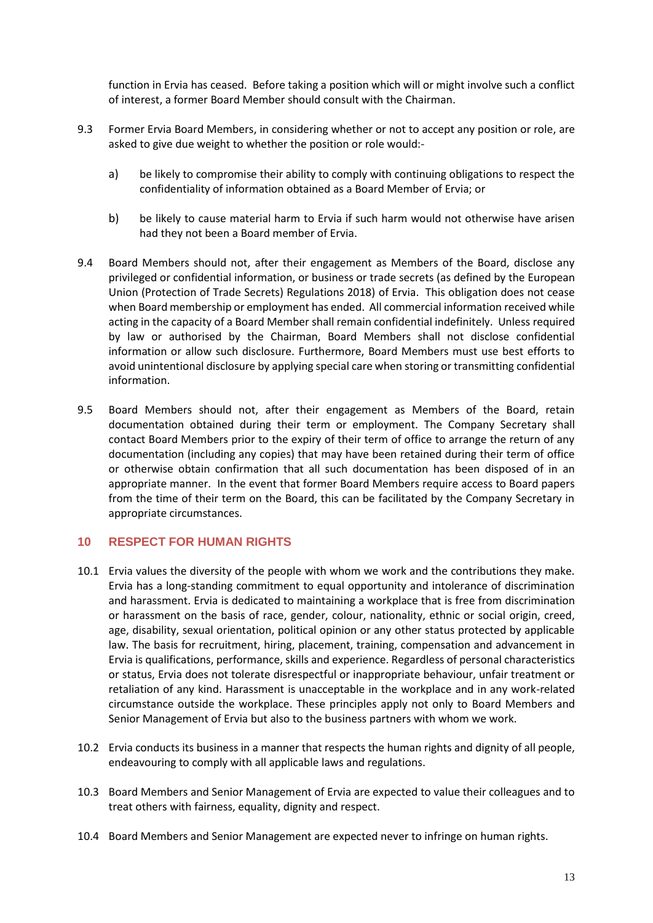function in Ervia has ceased. Before taking a position which will or might involve such a conflict of interest, a former Board Member should consult with the Chairman.

- 9.3 Former Ervia Board Members, in considering whether or not to accept any position or role, are asked to give due weight to whether the position or role would:
	- a) be likely to compromise their ability to comply with continuing obligations to respect the confidentiality of information obtained as a Board Member of Ervia; or
	- b) be likely to cause material harm to Ervia if such harm would not otherwise have arisen had they not been a Board member of Ervia.
- 9.4 Board Members should not, after their engagement as Members of the Board, disclose any privileged or confidential information, or business or trade secrets (as defined by the European Union (Protection of Trade Secrets) Regulations 2018) of Ervia. This obligation does not cease when Board membership or employment has ended. All commercial information received while acting in the capacity of a Board Member shall remain confidential indefinitely. Unless required by law or authorised by the Chairman, Board Members shall not disclose confidential information or allow such disclosure. Furthermore, Board Members must use best efforts to avoid unintentional disclosure by applying special care when storing or transmitting confidential information.
- 9.5 Board Members should not, after their engagement as Members of the Board, retain documentation obtained during their term or employment. The Company Secretary shall contact Board Members prior to the expiry of their term of office to arrange the return of any documentation (including any copies) that may have been retained during their term of office or otherwise obtain confirmation that all such documentation has been disposed of in an appropriate manner. In the event that former Board Members require access to Board papers from the time of their term on the Board, this can be facilitated by the Company Secretary in appropriate circumstances.

## **10 RESPECT FOR HUMAN RIGHTS**

- 10.1 Ervia values the diversity of the people with whom we work and the contributions they make. Ervia has a long-standing commitment to equal opportunity and intolerance of discrimination and harassment. Ervia is dedicated to maintaining a workplace that is free from discrimination or harassment on the basis of race, gender, colour, nationality, ethnic or social origin, creed, age, disability, sexual orientation, political opinion or any other status protected by applicable law. The basis for recruitment, hiring, placement, training, compensation and advancement in Ervia is qualifications, performance, skills and experience. Regardless of personal characteristics or status, Ervia does not tolerate disrespectful or inappropriate behaviour, unfair treatment or retaliation of any kind. Harassment is unacceptable in the workplace and in any work-related circumstance outside the workplace. These principles apply not only to Board Members and Senior Management of Ervia but also to the business partners with whom we work.
- 10.2 Ervia conducts its business in a manner that respects the human rights and dignity of all people, endeavouring to comply with all applicable laws and regulations.
- 10.3 Board Members and Senior Management of Ervia are expected to value their colleagues and to treat others with fairness, equality, dignity and respect.
- 10.4 Board Members and Senior Management are expected never to infringe on human rights.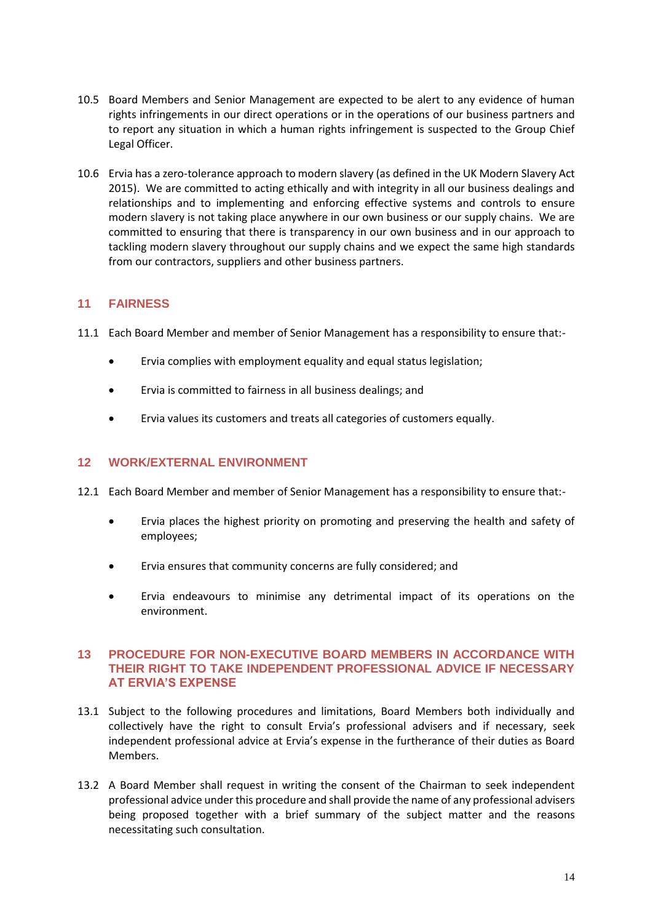- 10.5 Board Members and Senior Management are expected to be alert to any evidence of human rights infringements in our direct operations or in the operations of our business partners and to report any situation in which a human rights infringement is suspected to the Group Chief Legal Officer.
- 10.6 Ervia has a zero-tolerance approach to modern slavery (as defined in the UK Modern Slavery Act 2015). We are committed to acting ethically and with integrity in all our business dealings and relationships and to implementing and enforcing effective systems and controls to ensure modern slavery is not taking place anywhere in our own business or our supply chains. We are committed to ensuring that there is transparency in our own business and in our approach to tackling modern slavery throughout our supply chains and we expect the same high standards from our contractors, suppliers and other business partners.

## **11 FAIRNESS**

- 11.1 Each Board Member and member of Senior Management has a responsibility to ensure that:-
	- Ervia complies with employment equality and equal status legislation;
	- Ervia is committed to fairness in all business dealings; and
	- Ervia values its customers and treats all categories of customers equally.

## **12 WORK/EXTERNAL ENVIRONMENT**

- 12.1 Each Board Member and member of Senior Management has a responsibility to ensure that:-
	- Ervia places the highest priority on promoting and preserving the health and safety of employees;
	- Ervia ensures that community concerns are fully considered; and
	- Ervia endeavours to minimise any detrimental impact of its operations on the environment.

#### **13 PROCEDURE FOR NON-EXECUTIVE BOARD MEMBERS IN ACCORDANCE WITH THEIR RIGHT TO TAKE INDEPENDENT PROFESSIONAL ADVICE IF NECESSARY AT ERVIA'S EXPENSE**

- 13.1 Subject to the following procedures and limitations, Board Members both individually and collectively have the right to consult Ervia's professional advisers and if necessary, seek independent professional advice at Ervia's expense in the furtherance of their duties as Board Members.
- 13.2 A Board Member shall request in writing the consent of the Chairman to seek independent professional advice under this procedure and shall provide the name of any professional advisers being proposed together with a brief summary of the subject matter and the reasons necessitating such consultation.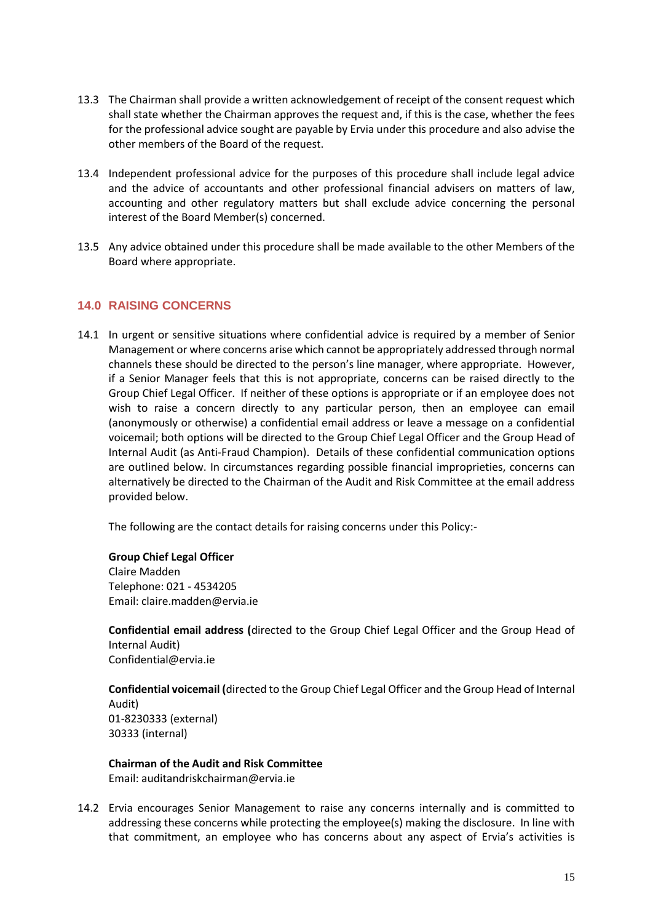- 13.3 The Chairman shall provide a written acknowledgement of receipt of the consent request which shall state whether the Chairman approves the request and, if this is the case, whether the fees for the professional advice sought are payable by Ervia under this procedure and also advise the other members of the Board of the request.
- 13.4 Independent professional advice for the purposes of this procedure shall include legal advice and the advice of accountants and other professional financial advisers on matters of law, accounting and other regulatory matters but shall exclude advice concerning the personal interest of the Board Member(s) concerned.
- 13.5 Any advice obtained under this procedure shall be made available to the other Members of the Board where appropriate.

## **14.0 RAISING CONCERNS**

14.1 In urgent or sensitive situations where confidential advice is required by a member of Senior Management or where concerns arise which cannot be appropriately addressed through normal channels these should be directed to the person's line manager, where appropriate. However, if a Senior Manager feels that this is not appropriate, concerns can be raised directly to the Group Chief Legal Officer. If neither of these options is appropriate or if an employee does not wish to raise a concern directly to any particular person, then an employee can email (anonymously or otherwise) a confidential email address or leave a message on a confidential voicemail; both options will be directed to the Group Chief Legal Officer and the Group Head of Internal Audit (as Anti-Fraud Champion). Details of these confidential communication options are outlined below. In circumstances regarding possible financial improprieties, concerns can alternatively be directed to the Chairman of the Audit and Risk Committee at the email address provided below.

The following are the contact details for raising concerns under this Policy:-

**Group Chief Legal Officer** Claire Madden Telephone: 021 - 4534205 Email: claire.madden@ervia.ie

**Confidential email address (**directed to the Group Chief Legal Officer and the Group Head of Internal Audit) [Confidential@ervia.ie](mailto:Confidential@ervia.ie)

**Confidential voicemail (**directed to the Group Chief Legal Officer and the Group Head of Internal Audit) 01-8230333 (external) 30333 (internal)

**Chairman of the Audit and Risk Committee** Email: [auditandriskchairman@ervia.ie](mailto:auditandriskchairman@ervia.ie)

14.2 Ervia encourages Senior Management to raise any concerns internally and is committed to addressing these concerns while protecting the employee(s) making the disclosure. In line with that commitment, an employee who has concerns about any aspect of Ervia's activities is